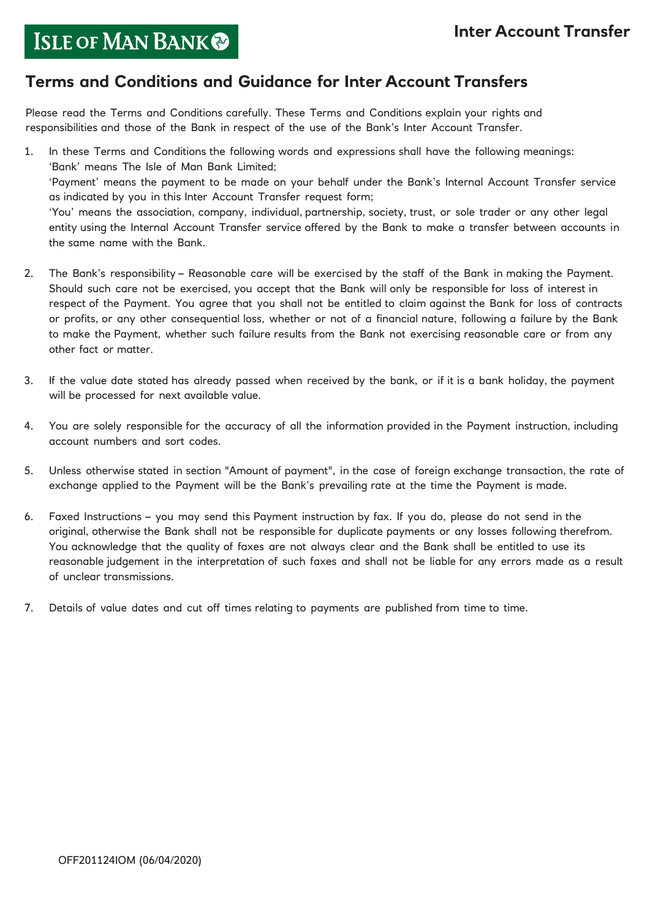# ISLE OF MAN BANK

### **Terms and Conditions and Guidance for Inter Account Transfers**

Please read the Terms and Conditions carefully. These Terms and Conditions explain your rights and responsibilities and those of the Bank in respect of the use of the Bank's Inter Account Transfer.

- 1. In these Terms and Conditions the following words and expressions shall have the following meanings: 'Bank' means The Isle of Man Bank Limited; 'Payment' means the payment to be made on your behalf under the Bank's Internal Account Transfer service as indicated by you in this Inter Account Transfer request form; 'You' means the association, company, individual, partnership, society, trust, or sole trader or any other legal entity using the Internal Account Transfer service offered by the Bank to make a transfer between accounts in the same name with the Bank.
- 2. The Bank's responsibility Reasonable care will be exercised by the staff of the Bank in making the Payment. Should such care not be exercised, you accept that the Bank will only be responsible for loss of interest in respect of the Payment. You agree that you shall not be entitled to claim against the Bank for loss of contracts or profits, or any other consequential loss, whether or not of a financial nature, following a failure by the Bank to make the Payment, whether such failure results from the Bank not exercising reasonable care or from any other fact or matter.
- 3. If the value date stated has already passed when received by the bank, or if it is a bank holiday, the payment will be processed for next available value.
- 4. You are solely responsible for the accuracy of all the information provided in the Payment instruction, including account numbers and sort codes.
- 5. Unless otherwise stated in section "Amount of payment", in the case of foreign exchange transaction, the rate of exchange applied to the Payment will be the Bank's prevailing rate at the time the Payment is made.
- 6. Faxed Instructions you may send this Payment instruction by fax. If you do, please do not send in the original, otherwise the Bank shall not be responsible for duplicate payments or any losses following therefrom. You acknowledge that the quality of faxes are not always clear and the Bank shall be entitled to use its reasonable judgement in the interpretation of such faxes and shall not be liable for any errors made as a result of unclear transmissions.
- 7. Details of value dates and cut off times relating to payments are published from time to time.